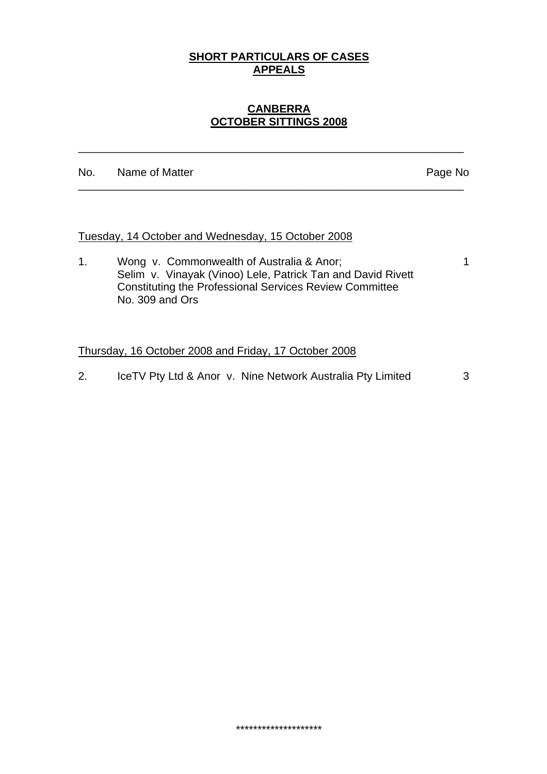## **SHORT PARTICULARS OF CASES APPEALS**

## **CANBERRA OCTOBER SITTINGS 2008**

\_\_\_\_\_\_\_\_\_\_\_\_\_\_\_\_\_\_\_\_\_\_\_\_\_\_\_\_\_\_\_\_\_\_\_\_\_\_\_\_\_\_\_\_\_\_\_\_\_\_\_\_\_\_\_\_\_\_\_\_\_\_\_

\_\_\_\_\_\_\_\_\_\_\_\_\_\_\_\_\_\_\_\_\_\_\_\_\_\_\_\_\_\_\_\_\_\_\_\_\_\_\_\_\_\_\_\_\_\_\_\_\_\_\_\_\_\_\_\_\_\_\_\_\_\_\_

No. Name of Matter **Name of Matter** Page No

### Tuesday, 14 October and Wednesday, 15 October 2008

1. Wong v. Commonwealth of Australia & Anor; 1 Selim v. Vinayak (Vinoo) Lele, Patrick Tan and David Rivett Constituting the Professional Services Review Committee No. 309 and Ors

#### Thursday, 16 October 2008 and Friday, 17 October 2008

2. IceTV Pty Ltd & Anor v. Nine Network Australia Pty Limited 3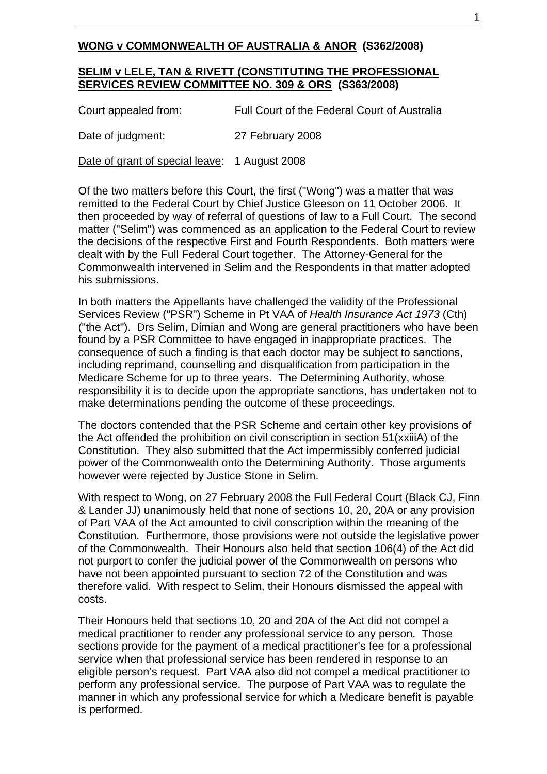## **WONG v COMMONWEALTH OF AUSTRALIA & ANOR (S362/2008)**

### **SELIM v LELE, TAN & RIVETT (CONSTITUTING THE PROFESSIONAL SERVICES REVIEW COMMITTEE NO. 309 & ORS (S363/2008)**

| Court appealed from: | Full Court of the Federal Court of Australia |
|----------------------|----------------------------------------------|
| Date of judgment:    | 27 February 2008                             |

Date of grant of special leave: 1 August 2008

Of the two matters before this Court, the first ("Wong") was a matter that was remitted to the Federal Court by Chief Justice Gleeson on 11 October 2006. It then proceeded by way of referral of questions of law to a Full Court. The second matter ("Selim") was commenced as an application to the Federal Court to review the decisions of the respective First and Fourth Respondents. Both matters were dealt with by the Full Federal Court together. The Attorney-General for the Commonwealth intervened in Selim and the Respondents in that matter adopted his submissions.

In both matters the Appellants have challenged the validity of the Professional Services Review ("PSR") Scheme in Pt VAA of *Health Insurance Act 1973* (Cth) ("the Act"). Drs Selim, Dimian and Wong are general practitioners who have been found by a PSR Committee to have engaged in inappropriate practices. The consequence of such a finding is that each doctor may be subject to sanctions, including reprimand, counselling and disqualification from participation in the Medicare Scheme for up to three years. The Determining Authority, whose responsibility it is to decide upon the appropriate sanctions, has undertaken not to make determinations pending the outcome of these proceedings.

The doctors contended that the PSR Scheme and certain other key provisions of the Act offended the prohibition on civil conscription in section 51(xxiiiA) of the Constitution. They also submitted that the Act impermissibly conferred judicial power of the Commonwealth onto the Determining Authority. Those arguments however were rejected by Justice Stone in Selim.

With respect to Wong, on 27 February 2008 the Full Federal Court (Black CJ, Finn & Lander JJ) unanimously held that none of sections 10, 20, 20A or any provision of Part VAA of the Act amounted to civil conscription within the meaning of the Constitution. Furthermore, those provisions were not outside the legislative power of the Commonwealth. Their Honours also held that section 106(4) of the Act did not purport to confer the judicial power of the Commonwealth on persons who have not been appointed pursuant to section 72 of the Constitution and was therefore valid. With respect to Selim, their Honours dismissed the appeal with costs.

Their Honours held that sections 10, 20 and 20A of the Act did not compel a medical practitioner to render any professional service to any person. Those sections provide for the payment of a medical practitioner's fee for a professional service when that professional service has been rendered in response to an eligible person's request. Part VAA also did not compel a medical practitioner to perform any professional service. The purpose of Part VAA was to regulate the manner in which any professional service for which a Medicare benefit is payable is performed.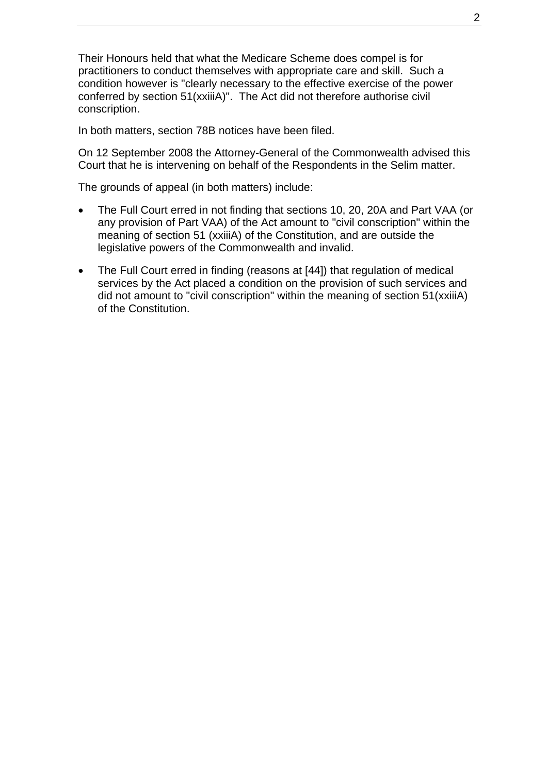Their Honours held that what the Medicare Scheme does compel is for practitioners to conduct themselves with appropriate care and skill. Such a condition however is "clearly necessary to the effective exercise of the power conferred by section 51(xxiiiA)". The Act did not therefore authorise civil conscription.

In both matters, section 78B notices have been filed.

On 12 September 2008 the Attorney-General of the Commonwealth advised this Court that he is intervening on behalf of the Respondents in the Selim matter.

The grounds of appeal (in both matters) include:

- The Full Court erred in not finding that sections 10, 20, 20A and Part VAA (or any provision of Part VAA) of the Act amount to "civil conscription" within the meaning of section 51 (xxiiiA) of the Constitution, and are outside the legislative powers of the Commonwealth and invalid.
- The Full Court erred in finding (reasons at [44]) that regulation of medical services by the Act placed a condition on the provision of such services and did not amount to "civil conscription" within the meaning of section 51(xxiiiA) of the Constitution.